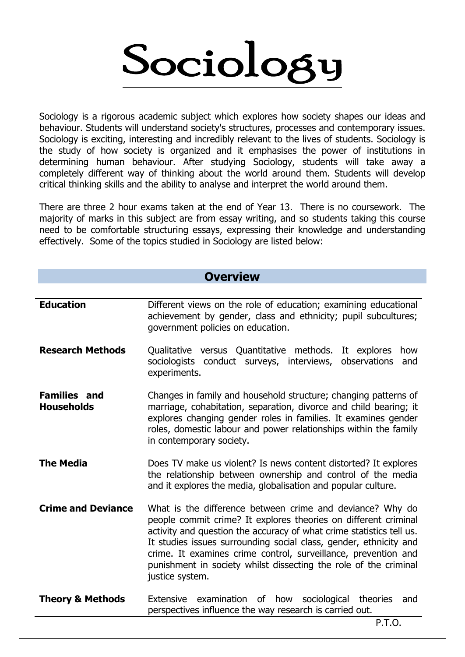# Sociology

Sociology is a rigorous academic subject which explores how society shapes our ideas and behaviour. Students will understand society's structures, processes and contemporary issues. Sociology is exciting, interesting and incredibly relevant to the lives of students. Sociology is the study of how society is organized and it emphasises the power of institutions in determining human behaviour. After studying Sociology, students will take away a completely different way of thinking about the world around them. Students will develop critical thinking skills and the ability to analyse and interpret the world around them.

There are three 2 hour exams taken at the end of Year 13. There is no coursework. The majority of marks in this subject are from essay writing, and so students taking this course need to be comfortable structuring essays, expressing their knowledge and understanding effectively. Some of the topics studied in Sociology are listed below:

# **Overview**

| <b>Research Methods</b><br>Qualitative versus Quantitative methods. It explores<br>how<br>sociologists conduct surveys, interviews, observations<br>and<br>experiments.<br><b>Families and</b><br>Changes in family and household structure; changing patterns of                                                                                                                                                                                               |
|-----------------------------------------------------------------------------------------------------------------------------------------------------------------------------------------------------------------------------------------------------------------------------------------------------------------------------------------------------------------------------------------------------------------------------------------------------------------|
|                                                                                                                                                                                                                                                                                                                                                                                                                                                                 |
| marriage, cohabitation, separation, divorce and child bearing; it<br><b>Households</b><br>explores changing gender roles in families. It examines gender<br>roles, domestic labour and power relationships within the family<br>in contemporary society.                                                                                                                                                                                                        |
| <b>The Media</b><br>Does TV make us violent? Is news content distorted? It explores<br>the relationship between ownership and control of the media<br>and it explores the media, globalisation and popular culture.                                                                                                                                                                                                                                             |
| <b>Crime and Deviance</b><br>What is the difference between crime and deviance? Why do<br>people commit crime? It explores theories on different criminal<br>activity and question the accuracy of what crime statistics tell us.<br>It studies issues surrounding social class, gender, ethnicity and<br>crime. It examines crime control, surveillance, prevention and<br>punishment in society whilst dissecting the role of the criminal<br>justice system. |
| <b>Theory &amp; Methods</b><br>Extensive examination<br>of how<br>sociological<br>theories<br>and<br>perspectives influence the way research is carried out.<br><b>P.T.O.</b>                                                                                                                                                                                                                                                                                   |